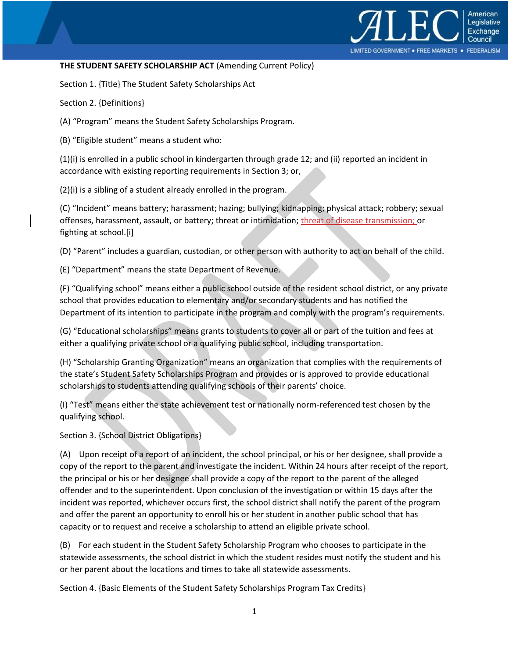

## **THE STUDENT SAFETY SCHOLARSHIP ACT** (Amending Current Policy)

Section 1. {Title} The Student Safety Scholarships Act

Section 2. {Definitions}

(A) "Program" means the Student Safety Scholarships Program.

(B) "Eligible student" means a student who:

(1)(i) is enrolled in a public school in kindergarten through grade 12; and (ii) reported an incident in accordance with existing reporting requirements in Section 3; or,

(2)(i) is a sibling of a student already enrolled in the program.

(C) "Incident" means battery; harassment; hazing; bullying; kidnapping; physical attack; robbery; sexual offenses, harassment, assault, or battery; threat or intimidation; threat of disease transmission; or fighting at school.[i]

(D) "Parent" includes a guardian, custodian, or other person with authority to act on behalf of the child.

(E) "Department" means the state Department of Revenue.

(F) "Qualifying school" means either a public school outside of the resident school district, or any private school that provides education to elementary and/or secondary students and has notified the Department of its intention to participate in the program and comply with the program's requirements.

(G) "Educational scholarships" means grants to students to cover all or part of the tuition and fees at either a qualifying private school or a qualifying public school, including transportation.

(H) "Scholarship Granting Organization" means an organization that complies with the requirements of the state's Student Safety Scholarships Program and provides or is approved to provide educational scholarships to students attending qualifying schools of their parents' choice.

(I) "Test" means either the state achievement test or nationally norm-referenced test chosen by the qualifying school.

Section 3. {School District Obligations}

(A) Upon receipt of a report of an incident, the school principal, or his or her designee, shall provide a copy of the report to the parent and investigate the incident. Within 24 hours after receipt of the report, the principal or his or her designee shall provide a copy of the report to the parent of the alleged offender and to the superintendent. Upon conclusion of the investigation or within 15 days after the incident was reported, whichever occurs first, the school district shall notify the parent of the program and offer the parent an opportunity to enroll his or her student in another public school that has capacity or to request and receive a scholarship to attend an eligible private school.

(B) For each student in the Student Safety Scholarship Program who chooses to participate in the statewide assessments, the school district in which the student resides must notify the student and his or her parent about the locations and times to take all statewide assessments.

Section 4. {Basic Elements of the Student Safety Scholarships Program Tax Credits}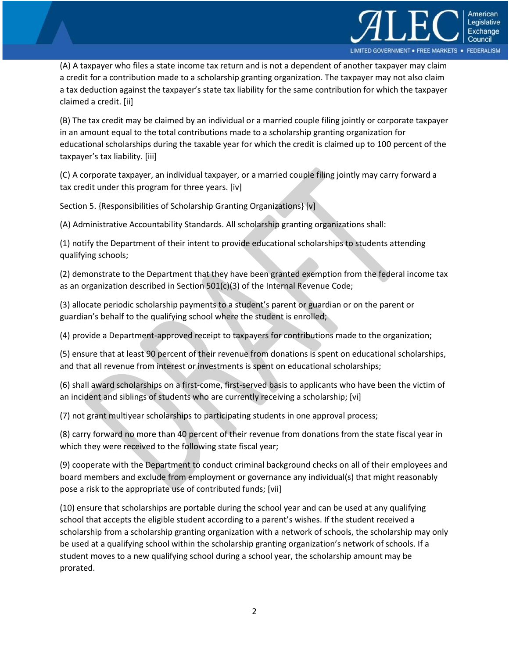

(A) A taxpayer who files a state income tax return and is not a dependent of another taxpayer may claim a credit for a contribution made to a scholarship granting organization. The taxpayer may not also claim a tax deduction against the taxpayer's state tax liability for the same contribution for which the taxpayer claimed a credit. [ii]

(B) The tax credit may be claimed by an individual or a married couple filing jointly or corporate taxpayer in an amount equal to the total contributions made to a scholarship granting organization for educational scholarships during the taxable year for which the credit is claimed up to 100 percent of the taxpayer's tax liability. [iii]

(C) A corporate taxpayer, an individual taxpayer, or a married couple filing jointly may carry forward a tax credit under this program for three years. [iv]

Section 5. {Responsibilities of Scholarship Granting Organizations} [v]

(A) Administrative Accountability Standards. All scholarship granting organizations shall:

(1) notify the Department of their intent to provide educational scholarships to students attending qualifying schools;

(2) demonstrate to the Department that they have been granted exemption from the federal income tax as an organization described in Section  $501(c)(3)$  of the Internal Revenue Code;

(3) allocate periodic scholarship payments to a student's parent or guardian or on the parent or guardian's behalf to the qualifying school where the student is enrolled;

(4) provide a Department-approved receipt to taxpayers for contributions made to the organization;

(5) ensure that at least 90 percent of their revenue from donations is spent on educational scholarships, and that all revenue from interest or investments is spent on educational scholarships;

(6) shall award scholarships on a first-come, first-served basis to applicants who have been the victim of an incident and siblings of students who are currently receiving a scholarship; [vi]

(7) not grant multiyear scholarships to participating students in one approval process;

(8) carry forward no more than 40 percent of their revenue from donations from the state fiscal year in which they were received to the following state fiscal year;

(9) cooperate with the Department to conduct criminal background checks on all of their employees and board members and exclude from employment or governance any individual(s) that might reasonably pose a risk to the appropriate use of contributed funds; [vii]

(10) ensure that scholarships are portable during the school year and can be used at any qualifying school that accepts the eligible student according to a parent's wishes. If the student received a scholarship from a scholarship granting organization with a network of schools, the scholarship may only be used at a qualifying school within the scholarship granting organization's network of schools. If a student moves to a new qualifying school during a school year, the scholarship amount may be prorated.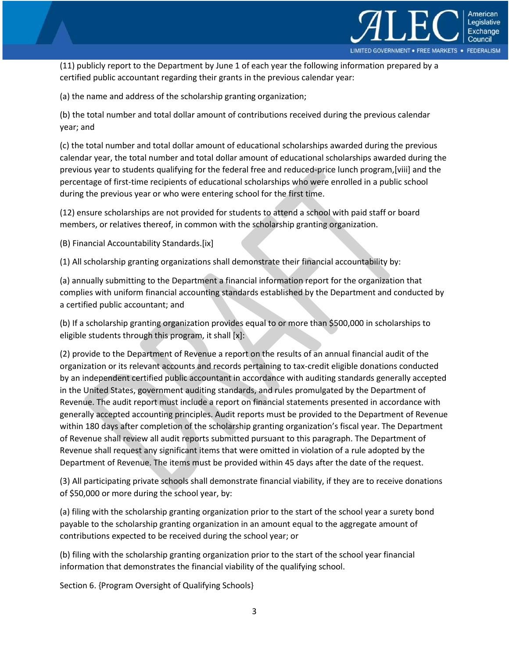

(11) publicly report to the Department by June 1 of each year the following information prepared by a certified public accountant regarding their grants in the previous calendar year:

(a) the name and address of the scholarship granting organization;

(b) the total number and total dollar amount of contributions received during the previous calendar year; and

(c) the total number and total dollar amount of educational scholarships awarded during the previous calendar year, the total number and total dollar amount of educational scholarships awarded during the previous year to students qualifying for the federal free and reduced-price lunch program,[viii] and the percentage of first-time recipients of educational scholarships who were enrolled in a public school during the previous year or who were entering school for the first time.

(12) ensure scholarships are not provided for students to attend a school with paid staff or board members, or relatives thereof, in common with the scholarship granting organization.

(B) Financial Accountability Standards.[ix]

(1) All scholarship granting organizations shall demonstrate their financial accountability by:

(a) annually submitting to the Department a financial information report for the organization that complies with uniform financial accounting standards established by the Department and conducted by a certified public accountant; and

(b) If a scholarship granting organization provides equal to or more than \$500,000 in scholarships to eligible students through this program, it shall [x]:

(2) provide to the Department of Revenue a report on the results of an annual financial audit of the organization or its relevant accounts and records pertaining to tax-credit eligible donations conducted by an independent certified public accountant in accordance with auditing standards generally accepted in the United States, government auditing standards, and rules promulgated by the Department of Revenue. The audit report must include a report on financial statements presented in accordance with generally accepted accounting principles. Audit reports must be provided to the Department of Revenue within 180 days after completion of the scholarship granting organization's fiscal year. The Department of Revenue shall review all audit reports submitted pursuant to this paragraph. The Department of Revenue shall request any significant items that were omitted in violation of a rule adopted by the Department of Revenue. The items must be provided within 45 days after the date of the request.

(3) All participating private schools shall demonstrate financial viability, if they are to receive donations of \$50,000 or more during the school year, by:

(a) filing with the scholarship granting organization prior to the start of the school year a surety bond payable to the scholarship granting organization in an amount equal to the aggregate amount of contributions expected to be received during the school year; or

(b) filing with the scholarship granting organization prior to the start of the school year financial information that demonstrates the financial viability of the qualifying school.

Section 6. {Program Oversight of Qualifying Schools}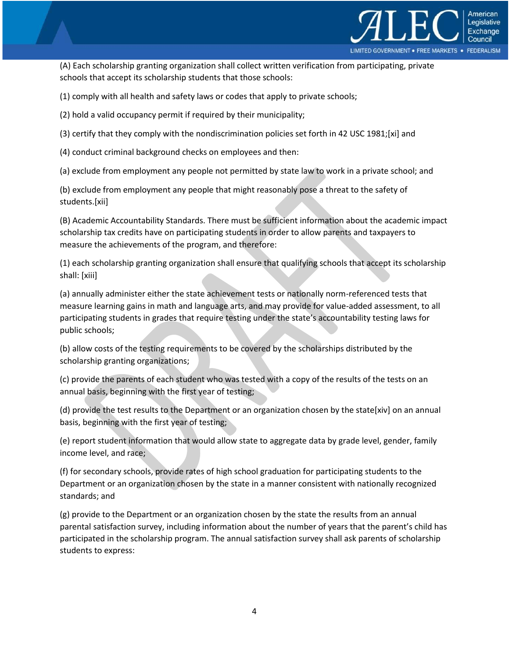

(A) Each scholarship granting organization shall collect written verification from participating, private schools that accept its scholarship students that those schools:

(1) comply with all health and safety laws or codes that apply to private schools;

(2) hold a valid occupancy permit if required by their municipality;

(3) certify that they comply with the nondiscrimination policies set forth in 42 USC 1981;[xi] and

(4) conduct criminal background checks on employees and then:

(a) exclude from employment any people not permitted by state law to work in a private school; and

(b) exclude from employment any people that might reasonably pose a threat to the safety of students.[xii]

(B) Academic Accountability Standards. There must be sufficient information about the academic impact scholarship tax credits have on participating students in order to allow parents and taxpayers to measure the achievements of the program, and therefore:

(1) each scholarship granting organization shall ensure that qualifying schools that accept its scholarship shall: [xiii]

(a) annually administer either the state achievement tests or nationally norm-referenced tests that measure learning gains in math and language arts, and may provide for value-added assessment, to all participating students in grades that require testing under the state's accountability testing laws for public schools;

(b) allow costs of the testing requirements to be covered by the scholarships distributed by the scholarship granting organizations;

(c) provide the parents of each student who was tested with a copy of the results of the tests on an annual basis, beginning with the first year of testing;

(d) provide the test results to the Department or an organization chosen by the state[xiv] on an annual basis, beginning with the first year of testing;

(e) report student information that would allow state to aggregate data by grade level, gender, family income level, and race;

(f) for secondary schools, provide rates of high school graduation for participating students to the Department or an organization chosen by the state in a manner consistent with nationally recognized standards; and

(g) provide to the Department or an organization chosen by the state the results from an annual parental satisfaction survey, including information about the number of years that the parent's child has participated in the scholarship program. The annual satisfaction survey shall ask parents of scholarship students to express: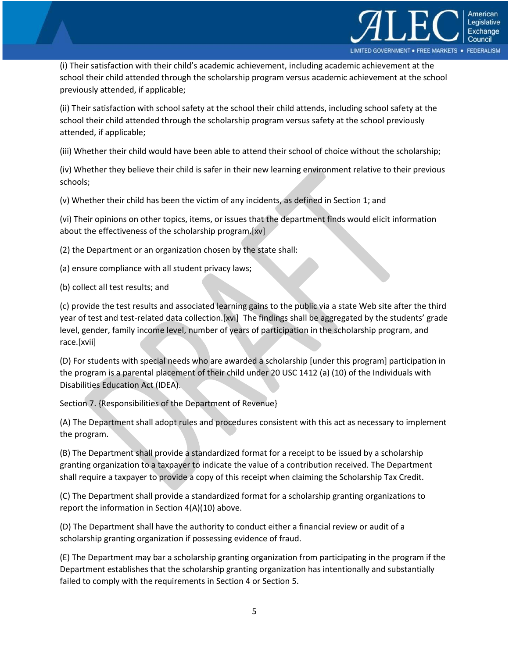

(i) Their satisfaction with their child's academic achievement, including academic achievement at the school their child attended through the scholarship program versus academic achievement at the school previously attended, if applicable;

(ii) Their satisfaction with school safety at the school their child attends, including school safety at the school their child attended through the scholarship program versus safety at the school previously attended, if applicable;

(iii) Whether their child would have been able to attend their school of choice without the scholarship;

(iv) Whether they believe their child is safer in their new learning environment relative to their previous schools;

(v) Whether their child has been the victim of any incidents, as defined in Section 1; and

(vi) Their opinions on other topics, items, or issues that the department finds would elicit information about the effectiveness of the scholarship program.[xv]

(2) the Department or an organization chosen by the state shall:

- (a) ensure compliance with all student privacy laws;
- (b) collect all test results; and

(c) provide the test results and associated learning gains to the public via a state Web site after the third year of test and test-related data collection.[xvi] The findings shall be aggregated by the students' grade level, gender, family income level, number of years of participation in the scholarship program, and race.[xvii]

(D) For students with special needs who are awarded a scholarship [under this program] participation in the program is a parental placement of their child under 20 USC 1412 (a) (10) of the Individuals with Disabilities Education Act (IDEA).

Section 7. {Responsibilities of the Department of Revenue}

(A) The Department shall adopt rules and procedures consistent with this act as necessary to implement the program.

(B) The Department shall provide a standardized format for a receipt to be issued by a scholarship granting organization to a taxpayer to indicate the value of a contribution received. The Department shall require a taxpayer to provide a copy of this receipt when claiming the Scholarship Tax Credit.

(C) The Department shall provide a standardized format for a scholarship granting organizations to report the information in Section 4(A)(10) above.

(D) The Department shall have the authority to conduct either a financial review or audit of a scholarship granting organization if possessing evidence of fraud.

(E) The Department may bar a scholarship granting organization from participating in the program if the Department establishes that the scholarship granting organization has intentionally and substantially failed to comply with the requirements in Section 4 or Section 5.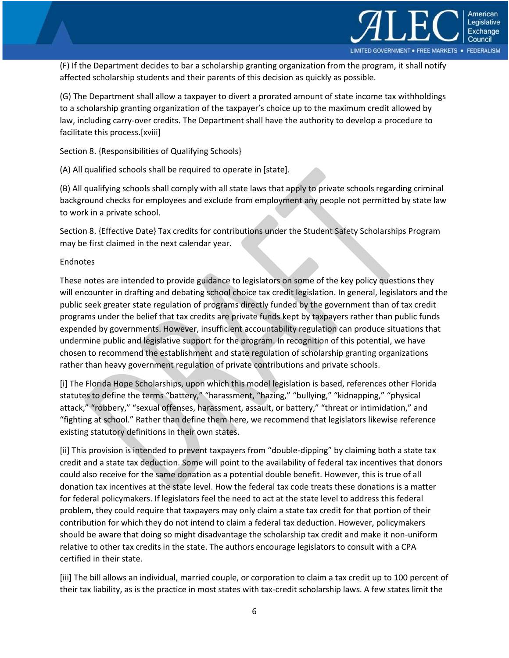

(F) If the Department decides to bar a scholarship granting organization from the program, it shall notify affected scholarship students and their parents of this decision as quickly as possible.

(G) The Department shall allow a taxpayer to divert a prorated amount of state income tax withholdings to a scholarship granting organization of the taxpayer's choice up to the maximum credit allowed by law, including carry-over credits. The Department shall have the authority to develop a procedure to facilitate this process.[xviii]

Section 8. {Responsibilities of Qualifying Schools}

(A) All qualified schools shall be required to operate in [state].

(B) All qualifying schools shall comply with all state laws that apply to private schools regarding criminal background checks for employees and exclude from employment any people not permitted by state law to work in a private school.

Section 8. {Effective Date} Tax credits for contributions under the Student Safety Scholarships Program may be first claimed in the next calendar year.

## Endnotes

These notes are intended to provide guidance to legislators on some of the key policy questions they will encounter in drafting and debating school choice tax credit legislation. In general, legislators and the public seek greater state regulation of programs directly funded by the government than of tax credit programs under the belief that tax credits are private funds kept by taxpayers rather than public funds expended by governments. However, insufficient accountability regulation can produce situations that undermine public and legislative support for the program. In recognition of this potential, we have chosen to recommend the establishment and state regulation of scholarship granting organizations rather than heavy government regulation of private contributions and private schools.

[i] The Florida Hope Scholarships, upon which this model legislation is based, references other Florida statutes to define the terms "battery," "harassment, "hazing," "bullying," "kidnapping," "physical attack," "robbery," "sexual offenses, harassment, assault, or battery," "threat or intimidation," and "fighting at school." Rather than define them here, we recommend that legislators likewise reference existing statutory definitions in their own states.

[ii] This provision is intended to prevent taxpayers from "double-dipping" by claiming both a state tax credit and a state tax deduction. Some will point to the availability of federal tax incentives that donors could also receive for the same donation as a potential double benefit. However, this is true of all donation tax incentives at the state level. How the federal tax code treats these donations is a matter for federal policymakers. If legislators feel the need to act at the state level to address this federal problem, they could require that taxpayers may only claim a state tax credit for that portion of their contribution for which they do not intend to claim a federal tax deduction. However, policymakers should be aware that doing so might disadvantage the scholarship tax credit and make it non-uniform relative to other tax credits in the state. The authors encourage legislators to consult with a CPA certified in their state.

[iii] The bill allows an individual, married couple, or corporation to claim a tax credit up to 100 percent of their tax liability, as is the practice in most states with tax-credit scholarship laws. A few states limit the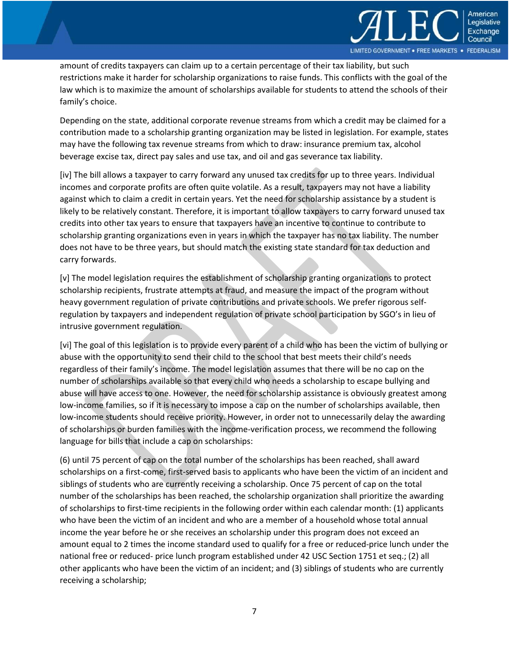

amount of credits taxpayers can claim up to a certain percentage of their tax liability, but such restrictions make it harder for scholarship organizations to raise funds. This conflicts with the goal of the law which is to maximize the amount of scholarships available for students to attend the schools of their family's choice.

Depending on the state, additional corporate revenue streams from which a credit may be claimed for a contribution made to a scholarship granting organization may be listed in legislation. For example, states may have the following tax revenue streams from which to draw: insurance premium tax, alcohol beverage excise tax, direct pay sales and use tax, and oil and gas severance tax liability.

[iv] The bill allows a taxpayer to carry forward any unused tax credits for up to three years. Individual incomes and corporate profits are often quite volatile. As a result, taxpayers may not have a liability against which to claim a credit in certain years. Yet the need for scholarship assistance by a student is likely to be relatively constant. Therefore, it is important to allow taxpayers to carry forward unused tax credits into other tax years to ensure that taxpayers have an incentive to continue to contribute to scholarship granting organizations even in years in which the taxpayer has no tax liability. The number does not have to be three years, but should match the existing state standard for tax deduction and carry forwards.

[v] The model legislation requires the establishment of scholarship granting organizations to protect scholarship recipients, frustrate attempts at fraud, and measure the impact of the program without heavy government regulation of private contributions and private schools. We prefer rigorous selfregulation by taxpayers and independent regulation of private school participation by SGO's in lieu of intrusive government regulation.

[vi] The goal of this legislation is to provide every parent of a child who has been the victim of bullying or abuse with the opportunity to send their child to the school that best meets their child's needs regardless of their family's income. The model legislation assumes that there will be no cap on the number of scholarships available so that every child who needs a scholarship to escape bullying and abuse will have access to one. However, the need for scholarship assistance is obviously greatest among low-income families, so if it is necessary to impose a cap on the number of scholarships available, then low-income students should receive priority. However, in order not to unnecessarily delay the awarding of scholarships or burden families with the income-verification process, we recommend the following language for bills that include a cap on scholarships:

(6) until 75 percent of cap on the total number of the scholarships has been reached, shall award scholarships on a first-come, first-served basis to applicants who have been the victim of an incident and siblings of students who are currently receiving a scholarship. Once 75 percent of cap on the total number of the scholarships has been reached, the scholarship organization shall prioritize the awarding of scholarships to first-time recipients in the following order within each calendar month: (1) applicants who have been the victim of an incident and who are a member of a household whose total annual income the year before he or she receives an scholarship under this program does not exceed an amount equal to 2 times the income standard used to qualify for a free or reduced-price lunch under the national free or reduced- price lunch program established under 42 USC Section 1751 et seq.; (2) all other applicants who have been the victim of an incident; and (3) siblings of students who are currently receiving a scholarship;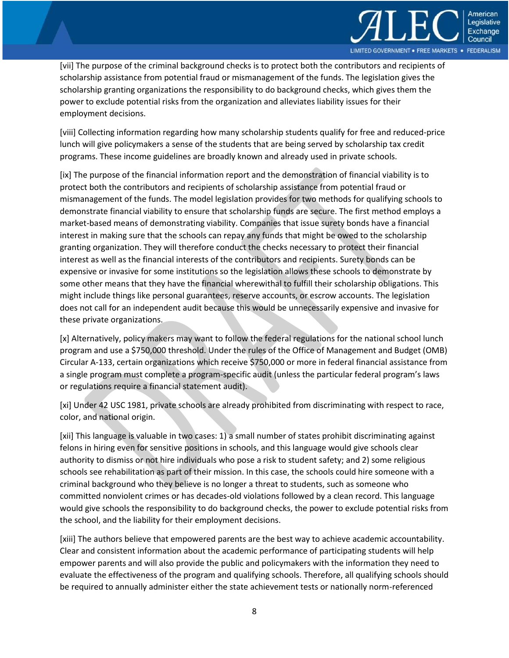

[vii] The purpose of the criminal background checks is to protect both the contributors and recipients of scholarship assistance from potential fraud or mismanagement of the funds. The legislation gives the scholarship granting organizations the responsibility to do background checks, which gives them the power to exclude potential risks from the organization and alleviates liability issues for their employment decisions.

[viii] Collecting information regarding how many scholarship students qualify for free and reduced-price lunch will give policymakers a sense of the students that are being served by scholarship tax credit programs. These income guidelines are broadly known and already used in private schools.

[ix] The purpose of the financial information report and the demonstration of financial viability is to protect both the contributors and recipients of scholarship assistance from potential fraud or mismanagement of the funds. The model legislation provides for two methods for qualifying schools to demonstrate financial viability to ensure that scholarship funds are secure. The first method employs a market-based means of demonstrating viability. Companies that issue surety bonds have a financial interest in making sure that the schools can repay any funds that might be owed to the scholarship granting organization. They will therefore conduct the checks necessary to protect their financial interest as well as the financial interests of the contributors and recipients. Surety bonds can be expensive or invasive for some institutions so the legislation allows these schools to demonstrate by some other means that they have the financial wherewithal to fulfill their scholarship obligations. This might include things like personal guarantees, reserve accounts, or escrow accounts. The legislation does not call for an independent audit because this would be unnecessarily expensive and invasive for these private organizations.

[x] Alternatively, policy makers may want to follow the federal regulations for the national school lunch program and use a \$750,000 threshold. Under the rules of the Office of Management and Budget (OMB) Circular A-133, certain organizations which receive \$750,000 or more in federal financial assistance from a single program must complete a program-specific audit (unless the particular federal program's laws or regulations require a financial statement audit).

[xi] Under 42 USC 1981, private schools are already prohibited from discriminating with respect to race, color, and national origin.

[xii] This language is valuable in two cases: 1) a small number of states prohibit discriminating against felons in hiring even for sensitive positions in schools, and this language would give schools clear authority to dismiss or not hire individuals who pose a risk to student safety; and 2) some religious schools see rehabilitation as part of their mission. In this case, the schools could hire someone with a criminal background who they believe is no longer a threat to students, such as someone who committed nonviolent crimes or has decades-old violations followed by a clean record. This language would give schools the responsibility to do background checks, the power to exclude potential risks from the school, and the liability for their employment decisions.

[xiii] The authors believe that empowered parents are the best way to achieve academic accountability. Clear and consistent information about the academic performance of participating students will help empower parents and will also provide the public and policymakers with the information they need to evaluate the effectiveness of the program and qualifying schools. Therefore, all qualifying schools should be required to annually administer either the state achievement tests or nationally norm-referenced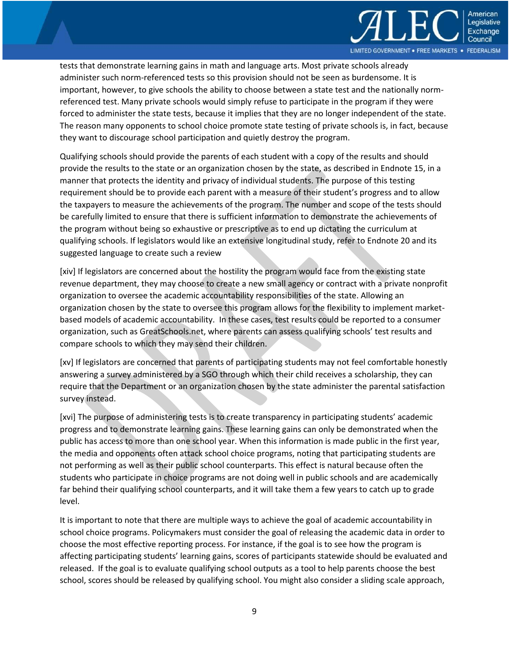

tests that demonstrate learning gains in math and language arts. Most private schools already administer such norm-referenced tests so this provision should not be seen as burdensome. It is important, however, to give schools the ability to choose between a state test and the nationally normreferenced test. Many private schools would simply refuse to participate in the program if they were forced to administer the state tests, because it implies that they are no longer independent of the state. The reason many opponents to school choice promote state testing of private schools is, in fact, because they want to discourage school participation and quietly destroy the program.

Qualifying schools should provide the parents of each student with a copy of the results and should provide the results to the state or an organization chosen by the state, as described in Endnote 15, in a manner that protects the identity and privacy of individual students. The purpose of this testing requirement should be to provide each parent with a measure of their student's progress and to allow the taxpayers to measure the achievements of the program. The number and scope of the tests should be carefully limited to ensure that there is sufficient information to demonstrate the achievements of the program without being so exhaustive or prescriptive as to end up dictating the curriculum at qualifying schools. If legislators would like an extensive longitudinal study, refer to Endnote 20 and its suggested language to create such a review

[xiv] If legislators are concerned about the hostility the program would face from the existing state revenue department, they may choose to create a new small agency or contract with a private nonprofit organization to oversee the academic accountability responsibilities of the state. Allowing an organization chosen by the state to oversee this program allows for the flexibility to implement marketbased models of academic accountability. In these cases, test results could be reported to a consumer organization, such as GreatSchools.net, where parents can assess qualifying schools' test results and compare schools to which they may send their children.

[xv] If legislators are concerned that parents of participating students may not feel comfortable honestly answering a survey administered by a SGO through which their child receives a scholarship, they can require that the Department or an organization chosen by the state administer the parental satisfaction survey instead.

[xvi] The purpose of administering tests is to create transparency in participating students' academic progress and to demonstrate learning gains. These learning gains can only be demonstrated when the public has access to more than one school year. When this information is made public in the first year, the media and opponents often attack school choice programs, noting that participating students are not performing as well as their public school counterparts. This effect is natural because often the students who participate in choice programs are not doing well in public schools and are academically far behind their qualifying school counterparts, and it will take them a few years to catch up to grade level.

It is important to note that there are multiple ways to achieve the goal of academic accountability in school choice programs. Policymakers must consider the goal of releasing the academic data in order to choose the most effective reporting process. For instance, if the goal is to see how the program is affecting participating students' learning gains, scores of participants statewide should be evaluated and released. If the goal is to evaluate qualifying school outputs as a tool to help parents choose the best school, scores should be released by qualifying school. You might also consider a sliding scale approach,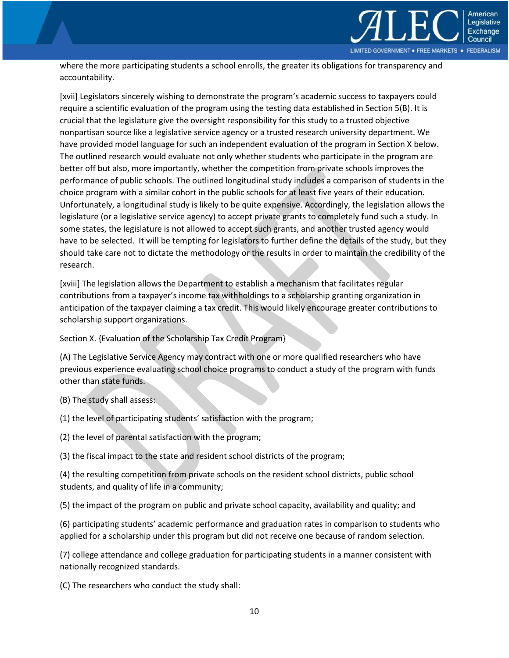

where the more participating students a school enrolls, the greater its obligations for transparency and accountability.

[xvii] Legislators sincerely wishing to demonstrate the program's academic success to taxpayers could require a scientific evaluation of the program using the testing data established in Section 5(B). It is crucial that the legislature give the oversight responsibility for this study to a trusted objective nonpartisan source like a legislative service agency or a trusted research university department. We have provided model language for such an independent evaluation of the program in Section X below. The outlined research would evaluate not only whether students who participate in the program are better off but also, more importantly, whether the competition from private schools improves the performance of public schools. The outlined longitudinal study includes a comparison of students in the choice program with a similar cohort in the public schools for at least five years of their education. Unfortunately, a longitudinal study is likely to be quite expensive. Accordingly, the legislation allows the legislature (or a legislative service agency) to accept private grants to completely fund such a study. In some states, the legislature is not allowed to accept such grants, and another trusted agency would have to be selected. It will be tempting for legislators to further define the details of the study, but they should take care not to dictate the methodology or the results in order to maintain the credibility of the research.

[xviii] The legislation allows the Department to establish a mechanism that facilitates regular contributions from a taxpayer's income tax withholdings to a scholarship granting organization in anticipation of the taxpayer claiming a tax credit. This would likely encourage greater contributions to scholarship support organizations.

Section X. {Evaluation of the Scholarship Tax Credit Program}

(A) The Legislative Service Agency may contract with one or more qualified researchers who have previous experience evaluating school choice programs to conduct a study of the program with funds other than state funds.

- (B) The study shall assess:
- (1) the level of participating students' satisfaction with the program;
- (2) the level of parental satisfaction with the program;

(3) the fiscal impact to the state and resident school districts of the program;

(4) the resulting competition from private schools on the resident school districts, public school students, and quality of life in a community;

(5) the impact of the program on public and private school capacity, availability and quality; and

(6) participating students' academic performance and graduation rates in comparison to students who applied for a scholarship under this program but did not receive one because of random selection.

(7) college attendance and college graduation for participating students in a manner consistent with nationally recognized standards.

(C) The researchers who conduct the study shall: